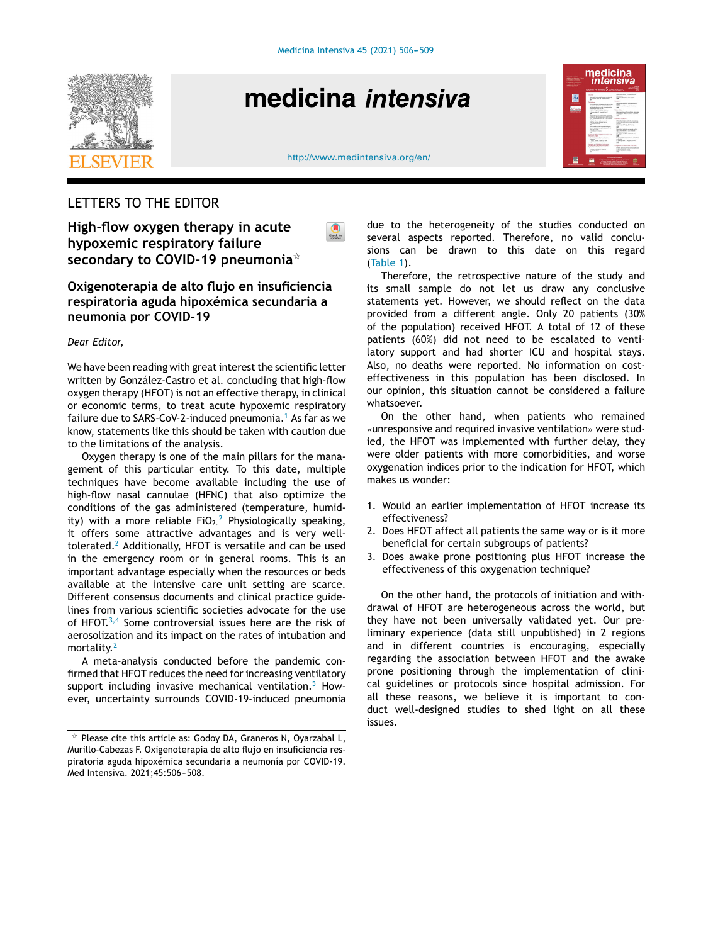

# medicina *intensiva*



 $\bigcirc$ 



# LETTERS TO THE EDITOR

**High-flow oxygen therapy in acute hypoxemic respiratory failure secondary to COVID-19 pneumonia**-

## **Oxigenoterapia de alto flujo en insuficiencia respiratoria aguda hipoxémica secundaria a neumonía por COVID-19**

#### *Dear Editor,*

We have been reading with great interest the scientific letter written by González-Castro et al. concluding that high-flow oxygen therapy (HFOT) is not an effective therapy, in clinical or economic terms, to treat acute hypoxemic respiratory failure due to S[A](#page-1-0)RS-CoV-2-induced pneumonia.<sup>1</sup> As far as we know, statements like this should be taken with caution due to the limitations of the analysis.

Oxygen therapy is one of the main pillars for the management of this particular entity. To this date, multiple techniques have become available including the use of high-flow nasal cannulae (HFNC) that also optimize the conditions of the gas administered (temperature, humidity) with a more reliable  $FiO<sub>2</sub><sup>2</sup>$  $FiO<sub>2</sub><sup>2</sup>$  $FiO<sub>2</sub><sup>2</sup>$  Physiologically speaking, it offers some attractive advantages and is very welltolerated. $<sup>2</sup>$  $<sup>2</sup>$  $<sup>2</sup>$  Additionally, HFOT is versatile and can be used</sup> in the emergency room or in general rooms. This is an important advantage especially when the resources or beds available at the intensive care unit setting are scarce. Different consensus documents and clinical practice guidelines from various scientific societies advocate for the use of HFOT.<sup>[3,4](#page-1-0)</sup> Some controversial issues here are the risk of aerosolization and its impact on the rates of intubation and mortality.<sup>[2](#page-1-0)</sup>

A meta-analysis conducted before the pandemic confirmed that HFOT reduces the need for increasing ventilatory support including invasive mechanical ventilation.<sup>[5](#page-1-0)</sup> However, uncertainty surrounds COVID-19-induced pneumonia

due to the heterogeneity of the studies conducted on several aspects reported. Therefore, no valid conclusions can be drawn to this date on this regard ([Table](#page-1-0) 1).

Therefore, the retrospective nature of the study and its small sample do not let us draw any conclusive statements yet. However, we should reflect on the data provided from a different angle. Only 20 patients (30% of the population) received HFOT. A total of 12 of these patients (60%) did not need to be escalated to ventilatory support and had shorter ICU and hospital stays. Also, no deaths were reported. No information on costeffectiveness in this population has been disclosed. In our opinion, this situation cannot be considered a failure whatsoever.

On the other hand, when patients who remained «unresponsive and required invasive ventilation» were studied, the HFOT was implemented with further delay, they were older patients with more comorbidities, and worse oxygenation indices prior to the indication for HFOT, which makes us wonder:

- 1. Would an earlier implementation of HFOT increase its effectiveness?
- 2. Does HFOT affect all patients the same way or is it more beneficial for certain subgroups of patients?
- 3. Does awake prone positioning plus HFOT increase the effectiveness of this oxygenation technique?

On the other hand, the protocols of initiation and withdrawal of HFOT are heterogeneous across the world, but they have not been universally validated yet. Our preliminary experience (data still unpublished) in 2 regions and in different countries is encouraging, especially regarding the association between HFOT and the awake prone positioning through the implementation of clinical guidelines or protocols since hospital admission. For all these reasons, we believe it is important to conduct well-designed studies to shed light on all these issues.

 $\overline{\mathbf{r}}$  Please cite this article as: Godoy DA, Graneros N, Oyarzabal L, Murillo-Cabezas F. Oxigenoterapia de alto flujo en insuficiencia respiratoria aguda hipoxémica secundaria a neumonía por COVID-19. Med Intensiva. 2021;45:506-508.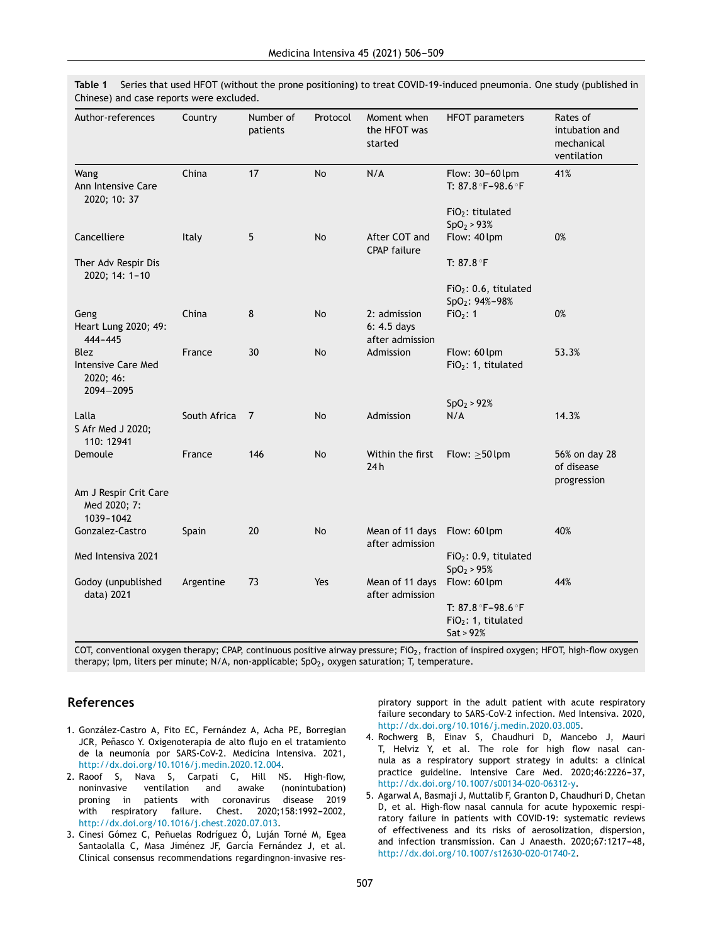| Author-references                                           | Country      | Number of<br>patients | Protocol | Moment when<br>the HFOT was<br>started         | <b>HFOT</b> parameters                                      | Rates of<br>intubation and<br>mechanical<br>ventilation |
|-------------------------------------------------------------|--------------|-----------------------|----------|------------------------------------------------|-------------------------------------------------------------|---------------------------------------------------------|
| Wang<br>Ann Intensive Care<br>2020; 10: 37                  | China        | 17                    | No       | N/A                                            | Flow: 30-60 lpm<br>T: 87.8 °F-98.6 °F                       | 41%                                                     |
|                                                             |              |                       |          |                                                | FiO <sub>2</sub> : titulated<br>SpO <sub>2</sub> > 93%      |                                                         |
| Cancelliere                                                 | Italy        | 5                     | No       | After COT and<br><b>CPAP failure</b>           | Flow: 40 lpm                                                | 0%                                                      |
| Ther Adv Respir Dis<br>2020; 14: 1-10                       |              |                       |          |                                                | T: 87.8 $\degree$ F                                         |                                                         |
|                                                             |              |                       |          |                                                | $FiO2: 0.6$ , titulated<br>$SpO2: 94%-98%$                  |                                                         |
| Geng<br>Heart Lung 2020; 49:<br>$444 - 445$                 | China        | 8                     | No       | 2: admission<br>6: 4.5 days<br>after admission | FiO <sub>2</sub> : 1                                        | 0%                                                      |
| <b>Blez</b><br>Intensive Care Med<br>2020; 46:<br>2094-2095 | France       | 30                    | No       | Admission                                      | Flow: 60 lpm<br>FiO <sub>2</sub> : 1, titulated             | 53.3%                                                   |
|                                                             |              |                       |          |                                                | SpO <sub>2</sub> > 92%                                      |                                                         |
| Lalla<br>S Afr Med J 2020;<br>110: 12941                    | South Africa | 7                     | No       | Admission                                      | N/A                                                         | 14.3%                                                   |
| Demoule                                                     | France       | 146                   | No       | Within the first<br>24h                        | Flow: $\geq$ 50 lpm                                         | 56% on day 28<br>of disease<br>progression              |
| Am J Respir Crit Care<br>Med 2020; 7:<br>1039-1042          |              |                       |          |                                                |                                                             |                                                         |
| Gonzalez-Castro                                             | Spain        | 20                    | No       | Mean of 11 days<br>after admission             | Flow: 60 lpm                                                | 40%                                                     |
| Med Intensiva 2021                                          |              |                       |          |                                                | FiO <sub>2</sub> : 0.9, titulated<br>SpO <sub>2</sub> > 95% |                                                         |
| Godoy (unpublished<br>data) 2021                            | Argentine    | 73                    | Yes      | Mean of 11 days<br>after admission             | Flow: 60 lpm                                                | 44%                                                     |
|                                                             |              |                       |          |                                                | T: 87.8 °F-98.6 °F<br>$FiO2: 1$ , titulated<br>Sat > 92%    |                                                         |

<span id="page-1-0"></span>**Table 1** Series that used HFOT (without the prone positioning) to treat COVID-19-induced pneumonia. One study (published in Chinese) and case reports were excluded.

COT, conventional oxygen therapy; CPAP, continuous positive airway pressure; FiO<sub>2</sub>, fraction of inspired oxygen; HFOT, high-flow oxygen therapy; lpm, liters per minute; N/A, non-applicable; SpO<sub>2</sub>, oxygen saturation; T, temperature.

### **References**

- 1. González-Castro A, Fito EC, Fernández A, Acha PE, Borregian JCR, Peñasco Y. Oxigenoterapia de alto flujo en el tratamiento de la neumonía por SARS-CoV-2. Medicina Intensiva. 2021, [http://dx.doi.org/10.1016/j.medin.2020.12.004.](dx.doi.org/10.1016/j.medin.2020.12.004)
- 2. Raoof S, Nava S, Carpati C, Hill NS. High-flow, noninvasive ventilation and awake (nonintubation) proning in patients with coronavirus disease 2019 with respiratory failure. Chest. 2020;158:1992-2002, [http://dx.doi.org/10.1016/j.chest.2020.07.013.](dx.doi.org/10.1016/j.chest.2020.07.013)
- 3. Cinesi Gómez C, Peñuelas Rodríguez Ó, Luján Torné M, Egea Santaolalla C, Masa Jiménez JF, García Fernández J, et al. Clinical consensus recommendations regardingnon-invasive res-

piratory support in the adult patient with acute respiratory failure secondary to SARS-CoV-2 infection. Med Intensiva. 2020, [http://dx.doi.org/10.1016/j.medin.2020.03.005.](dx.doi.org/10.1016/j.medin.2020.03.005)

- 4. Rochwerg B, Einav S, Chaudhuri D, Mancebo J, Mauri T, Helviz Y, et al. The role for high flow nasal cannula as a respiratory support strategy in adults: a clinical practice guideline. Intensive Care Med. 2020;46:2226-37, [http://dx.doi.org/10.1007/s00134-020-06312-y.](dx.doi.org/10.1007/s00134-020-06312-y)
- 5. Agarwal A, Basmaji J, Muttalib F, Granton D, Chaudhuri D, Chetan D, et al. High-flow nasal cannula for acute hypoxemic respiratory failure in patients with COVID-19: systematic reviews of effectiveness and its risks of aerosolization, dispersion, and infection transmission. Can J Anaesth. 2020;67:1217-48, [http://dx.doi.org/10.1007/s12630-020-01740-2](dx.doi.org/10.1007/s12630-020-01740-2).